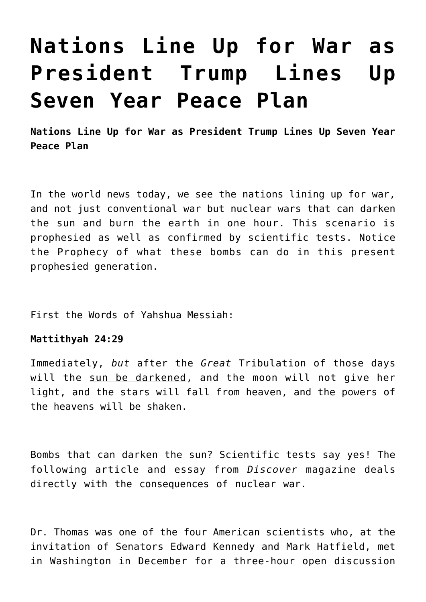# **[Nations Line Up for War as](https://yahwehsbranch.com/nations-line-up-for-war-as-president-trump-lines-up-seven-year-peace-plan/) [President Trump Lines Up](https://yahwehsbranch.com/nations-line-up-for-war-as-president-trump-lines-up-seven-year-peace-plan/) [Seven Year Peace Plan](https://yahwehsbranch.com/nations-line-up-for-war-as-president-trump-lines-up-seven-year-peace-plan/)**

**Nations Line Up for War as President Trump Lines Up Seven Year Peace Plan**

In the world news today, we see the nations lining up for war, and not just conventional war but nuclear wars that can darken the sun and burn the earth in one hour. This scenario is prophesied as well as confirmed by scientific tests. Notice the Prophecy of what these bombs can do in this present prophesied generation.

First the Words of Yahshua Messiah:

#### **Mattithyah 24:29**

Immediately, *but* after the *Great* Tribulation of those days will the sun be darkened, and the moon will not give her light, and the stars will fall from heaven, and the powers of the heavens will be shaken.

Bombs that can darken the sun? Scientific tests say yes! The following article and essay from *Discover* magazine deals directly with the consequences of nuclear war.

Dr. Thomas was one of the four American scientists who, at the invitation of Senators Edward Kennedy and Mark Hatfield, met in Washington in December for a three-hour open discussion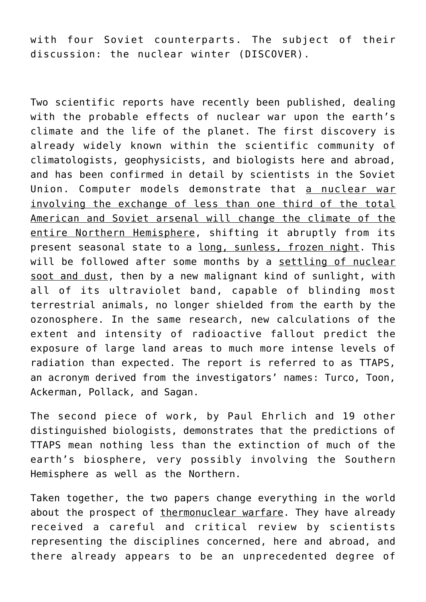with four Soviet counterparts. The subject of their discussion: the nuclear winter (DISCOVER).

Two scientific reports have recently been published, dealing with the probable effects of nuclear war upon the earth's climate and the life of the planet. The first discovery is already widely known within the scientific community of climatologists, geophysicists, and biologists here and abroad, and has been confirmed in detail by scientists in the Soviet Union. Computer models demonstrate that a nuclear war involving the exchange of less than one third of the total American and Soviet arsenal will change the climate of the entire Northern Hemisphere, shifting it abruptly from its present seasonal state to a long, sunless, frozen night. This will be followed after some months by a settling of nuclear soot and dust, then by a new malignant kind of sunlight, with all of its ultraviolet band, capable of blinding most terrestrial animals, no longer shielded from the earth by the ozonosphere. In the same research, new calculations of the extent and intensity of radioactive fallout predict the exposure of large land areas to much more intense levels of radiation than expected. The report is referred to as TTAPS, an acronym derived from the investigators' names: Turco, Toon, Ackerman, Pollack, and Sagan.

The second piece of work, by Paul Ehrlich and 19 other distinguished biologists, demonstrates that the predictions of TTAPS mean nothing less than the extinction of much of the earth's biosphere, very possibly involving the Southern Hemisphere as well as the Northern.

Taken together, the two papers change everything in the world about the prospect of thermonuclear warfare. They have already received a careful and critical review by scientists representing the disciplines concerned, here and abroad, and there already appears to be an unprecedented degree of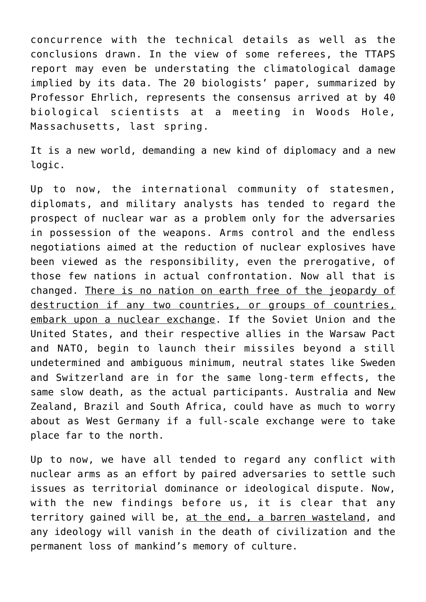concurrence with the technical details as well as the conclusions drawn. In the view of some referees, the TTAPS report may even be understating the climatological damage implied by its data. The 20 biologists' paper, summarized by Professor Ehrlich, represents the consensus arrived at by 40 biological scientists at a meeting in Woods Hole, Massachusetts, last spring.

It is a new world, demanding a new kind of diplomacy and a new logic.

Up to now, the international community of statesmen, diplomats, and military analysts has tended to regard the prospect of nuclear war as a problem only for the adversaries in possession of the weapons. Arms control and the endless negotiations aimed at the reduction of nuclear explosives have been viewed as the responsibility, even the prerogative, of those few nations in actual confrontation. Now all that is changed. There is no nation on earth free of the jeopardy of destruction if any two countries, or groups of countries, embark upon a nuclear exchange. If the Soviet Union and the United States, and their respective allies in the Warsaw Pact and NATO, begin to launch their missiles beyond a still undetermined and ambiguous minimum, neutral states like Sweden and Switzerland are in for the same long-term effects, the same slow death, as the actual participants. Australia and New Zealand, Brazil and South Africa, could have as much to worry about as West Germany if a full-scale exchange were to take place far to the north.

Up to now, we have all tended to regard any conflict with nuclear arms as an effort by paired adversaries to settle such issues as territorial dominance or ideological dispute. Now, with the new findings before us, it is clear that any territory gained will be, at the end, a barren wasteland, and any ideology will vanish in the death of civilization and the permanent loss of mankind's memory of culture.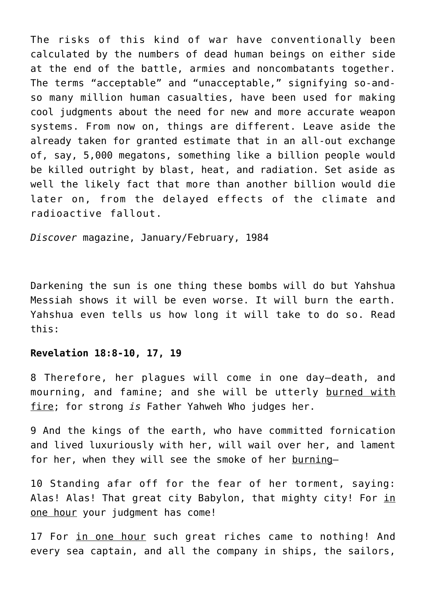The risks of this kind of war have conventionally been calculated by the numbers of dead human beings on either side at the end of the battle, armies and noncombatants together. The terms "acceptable" and "unacceptable," signifying so-andso many million human casualties, have been used for making cool judgments about the need for new and more accurate weapon systems. From now on, things are different. Leave aside the already taken for granted estimate that in an all-out exchange of, say, 5,000 megatons, something like a billion people would be killed outright by blast, heat, and radiation. Set aside as well the likely fact that more than another billion would die later on, from the delayed effects of the climate and radioactive fallout.

*Discover* magazine, January/February, 1984

Darkening the sun is one thing these bombs will do but Yahshua Messiah shows it will be even worse. It will burn the earth. Yahshua even tells us how long it will take to do so. Read this:

#### **Revelation 18:8-10, 17, 19**

8 Therefore, her plagues will come in one day—death, and mourning, and famine; and she will be utterly burned with fire; for strong *is* Father Yahweh Who judges her.

9 And the kings of the earth, who have committed fornication and lived luxuriously with her, will wail over her, and lament for her, when they will see the smoke of her burning-

10 Standing afar off for the fear of her torment, saying: Alas! Alas! That great city Babylon, that mighty city! For in one hour your judgment has come!

17 For in one hour such great riches came to nothing! And every sea captain, and all the company in ships, the sailors,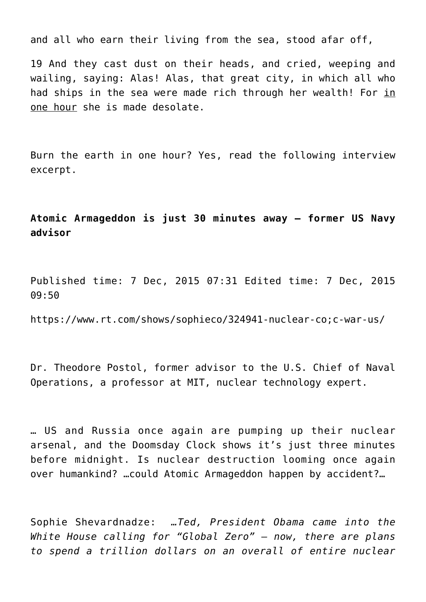and all who earn their living from the sea, stood afar off,

19 And they cast dust on their heads, and cried, weeping and wailing, saying: Alas! Alas, that great city, in which all who had ships in the sea were made rich through her wealth! For in one hour she is made desolate.

Burn the earth in one hour? Yes, read the following interview excerpt.

# **Atomic Armageddon is just 30 minutes away – former US Navy advisor**

Published time: 7 Dec, 2015 07:31 Edited time: 7 Dec, 2015 09:50

https://www.rt.com/shows/sophieco/324941-nuclear-co;c-war-us/

Dr. Theodore Postol, former advisor to the U.S. Chief of Naval Operations, a professor at MIT, nuclear technology expert.

… US and Russia once again are pumping up their nuclear arsenal, and the Doomsday Clock shows it's just three minutes before midnight. Is nuclear destruction looming once again over humankind? …could Atomic Armageddon happen by accident?…

Sophie Shevardnadze: *…Ted, President Obama came into the White House calling for "Global Zero" – now, there are plans to spend a trillion dollars on an overall of entire nuclear*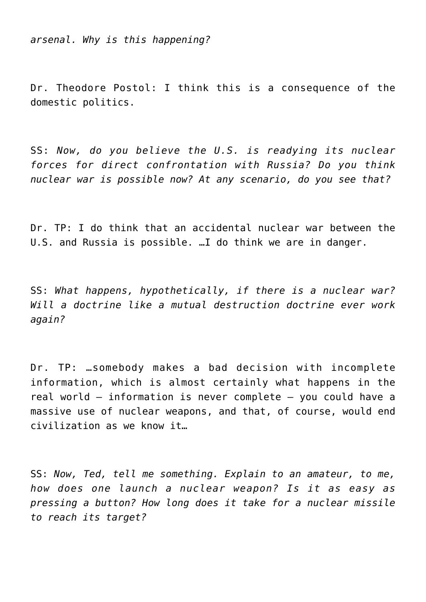*arsenal. Why is this happening?*

Dr. Theodore Postol: I think this is a consequence of the domestic politics.

SS: *Now, do you believe the U.S. is readying its nuclear forces for direct confrontation with Russia? Do you think nuclear war is possible now? At any scenario, do you see that?*

Dr. TP: I do think that an accidental nuclear war between the U.S. and Russia is possible. …I do think we are in danger.

SS: *What happens, hypothetically, if there is a nuclear war? Will a doctrine like a mutual destruction doctrine ever work again?*

Dr. TP: …somebody makes a bad decision with incomplete information, which is almost certainly what happens in the real world – information is never complete – you could have a massive use of nuclear weapons, and that, of course, would end civilization as we know it…

SS: *Now, Ted, tell me something. Explain to an amateur, to me, how does one launch a nuclear weapon? Is it as easy as pressing a button? How long does it take for a nuclear missile to reach its target?*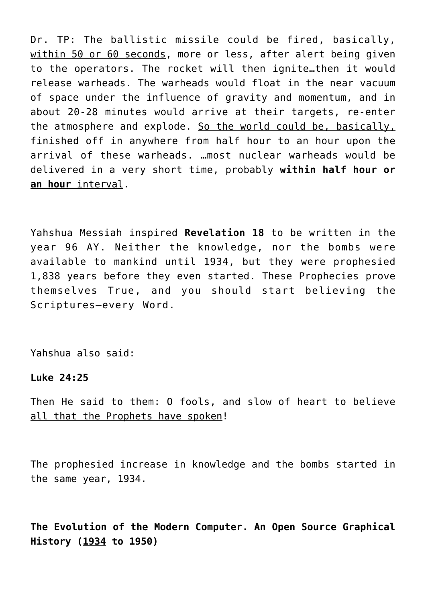Dr. TP: The ballistic missile could be fired, basically, within 50 or 60 seconds, more or less, after alert being given to the operators. The rocket will then ignite…then it would release warheads. The warheads would float in the near vacuum of space under the influence of gravity and momentum, and in about 20-28 minutes would arrive at their targets, re-enter the atmosphere and explode. So the world could be, basically, finished off in anywhere from half hour to an hour upon the arrival of these warheads. …most nuclear warheads would be delivered in a very short time, probably **within half hour or an hour** interval.

Yahshua Messiah inspired **Revelation 18** to be written in the year 96 AY. Neither the knowledge, nor the bombs were available to mankind until 1934, but they were prophesied 1,838 years before they even started. These Prophecies prove themselves True, and you should start believing the Scriptures–every Word.

Yahshua also said:

**Luke 24:25**

Then He said to them: 0 fools, and slow of heart to believe all that the Prophets have spoken!

The prophesied increase in knowledge and the bombs started in the same year, 1934.

**The Evolution of the Modern Computer. An Open Source Graphical History (1934 to 1950)**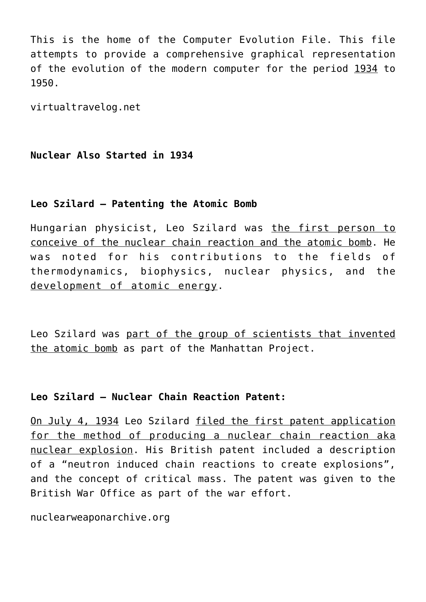This is the home of the Computer Evolution File. This file attempts to provide a comprehensive graphical representation of the evolution of the modern computer for the period 1934 to 1950.

virtualtravelog.net

### **Nuclear Also Started in 1934**

## **Leo Szilard – Patenting the Atomic Bomb**

Hungarian physicist, Leo Szilard was the first person to conceive of the nuclear chain reaction and the atomic bomb. He was noted for his contributions to the fields of thermodynamics, biophysics, nuclear physics, and the development of atomic energy.

Leo Szilard was part of the group of scientists that invented the atomic bomb as part of the Manhattan Project.

### **Leo Szilard – Nuclear Chain Reaction Patent:**

On July 4, 1934 Leo Szilard filed the first patent application for the method of producing a nuclear chain reaction aka nuclear explosion. His British patent included a description of a "neutron induced chain reactions to create explosions", and the concept of critical mass. The patent was given to the British War Office as part of the war effort.

nuclearweaponarchive.org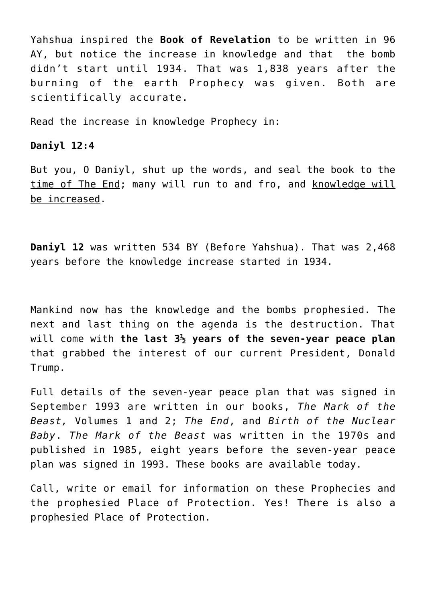Yahshua inspired the **Book of Revelation** to be written in 96 AY, but notice the increase in knowledge and that the bomb didn't start until 1934. That was 1,838 years after the burning of the earth Prophecy was given. Both are scientifically accurate.

Read the increase in knowledge Prophecy in:

#### **Daniyl 12:4**

But you, O Daniyl, shut up the words, and seal the book to the time of The End; many will run to and fro, and knowledge will be increased.

**Daniyl 12** was written 534 BY (Before Yahshua). That was 2,468 years before the knowledge increase started in 1934.

Mankind now has the knowledge and the bombs prophesied. The next and last thing on the agenda is the destruction. That will come with **the last 3½ years of the seven-year peace plan** that grabbed the interest of our current President, Donald Trump.

Full details of the seven-year peace plan that was signed in September 1993 are written in our books, *The Mark of the Beast,* Volumes 1 and 2; *The End*, and *Birth of the Nuclear Baby*. *The Mark of the Beast* was written in the 1970s and published in 1985, eight years before the seven-year peace plan was signed in 1993. These books are available today.

Call, write or email for information on these Prophecies and the prophesied Place of Protection. Yes! There is also a prophesied Place of Protection.